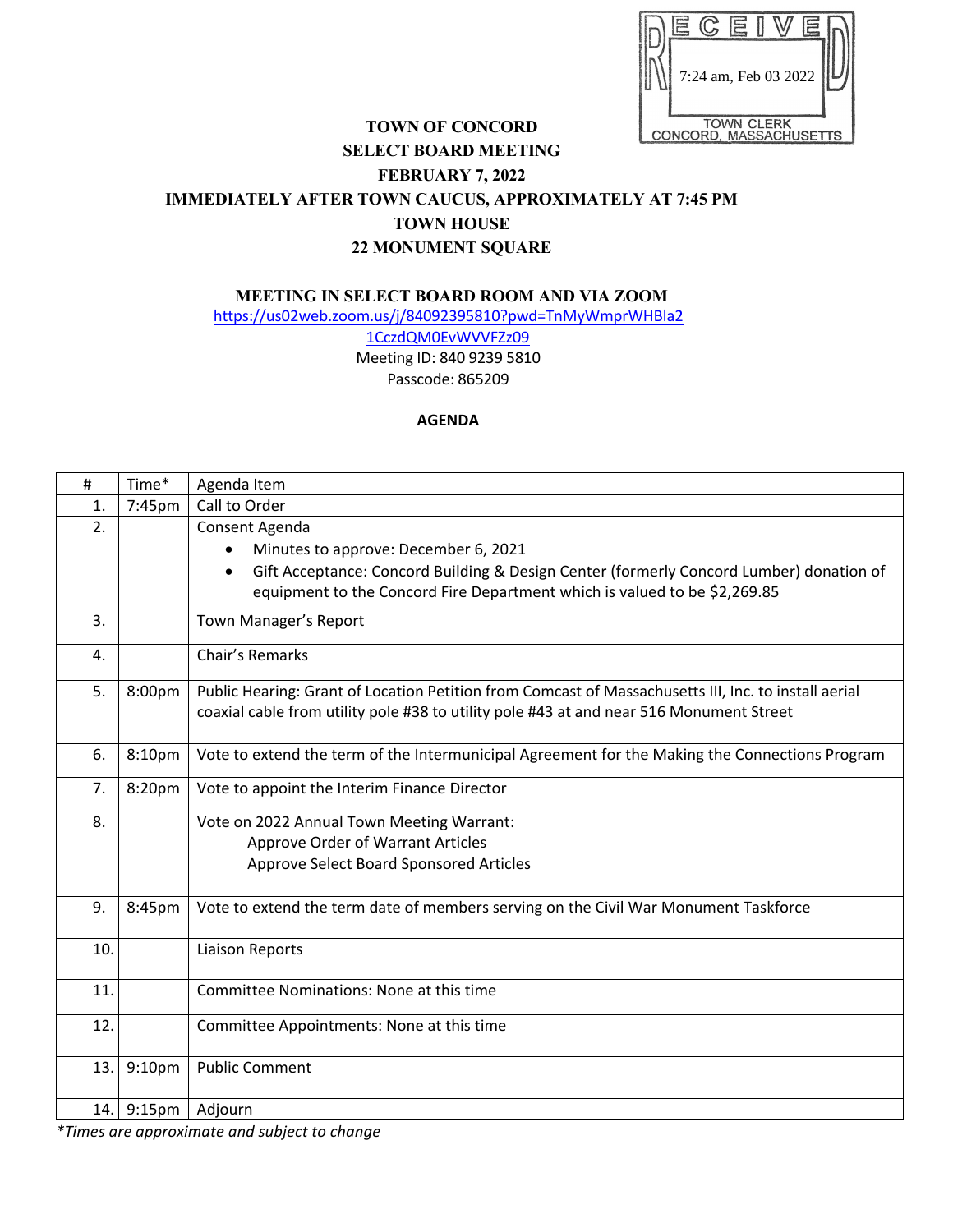

## **TOWN OF CONCORD SELECT BOARD MEETING FEBRUARY 7, 2022 IMMEDIATELY AFTER TOWN CAUCUS, APPROXIMATELY AT 7:45 PM TOWN HOUSE 22 MONUMENT SQUARE**

**MEETING IN SELECT BOARD ROOM AND VIA ZOOM** 

https://us02web.zoom.us/j/84092395810?pwd=TnMyWmprWHBla2

1CczdQM0EvWVVFZz09 Meeting ID: 840 9239 5810 Passcode: 865209

## **AGENDA**

| #   | Time*      | Agenda Item                                                                                                                                                                                                                    |
|-----|------------|--------------------------------------------------------------------------------------------------------------------------------------------------------------------------------------------------------------------------------|
| 1.  | 7:45pm     | Call to Order                                                                                                                                                                                                                  |
| 2.  |            | Consent Agenda<br>Minutes to approve: December 6, 2021<br>Gift Acceptance: Concord Building & Design Center (formerly Concord Lumber) donation of<br>equipment to the Concord Fire Department which is valued to be \$2,269.85 |
| 3.  |            | Town Manager's Report                                                                                                                                                                                                          |
| 4.  |            | Chair's Remarks                                                                                                                                                                                                                |
| 5.  | 8:00pm     | Public Hearing: Grant of Location Petition from Comcast of Massachusetts III, Inc. to install aerial<br>coaxial cable from utility pole #38 to utility pole #43 at and near 516 Monument Street                                |
| 6.  | 8:10pm     | Vote to extend the term of the Intermunicipal Agreement for the Making the Connections Program                                                                                                                                 |
| 7.  | 8:20pm     | Vote to appoint the Interim Finance Director                                                                                                                                                                                   |
| 8.  |            | Vote on 2022 Annual Town Meeting Warrant:<br>Approve Order of Warrant Articles<br>Approve Select Board Sponsored Articles                                                                                                      |
| 9.  | 8:45pm     | Vote to extend the term date of members serving on the Civil War Monument Taskforce                                                                                                                                            |
| 10. |            | Liaison Reports                                                                                                                                                                                                                |
| 11. |            | <b>Committee Nominations: None at this time</b>                                                                                                                                                                                |
| 12. |            | Committee Appointments: None at this time                                                                                                                                                                                      |
| 13. | 9:10pm     | <b>Public Comment</b>                                                                                                                                                                                                          |
|     | 14. 9:15pm | Adjourn                                                                                                                                                                                                                        |

*\*Times are approximate and subject to change*